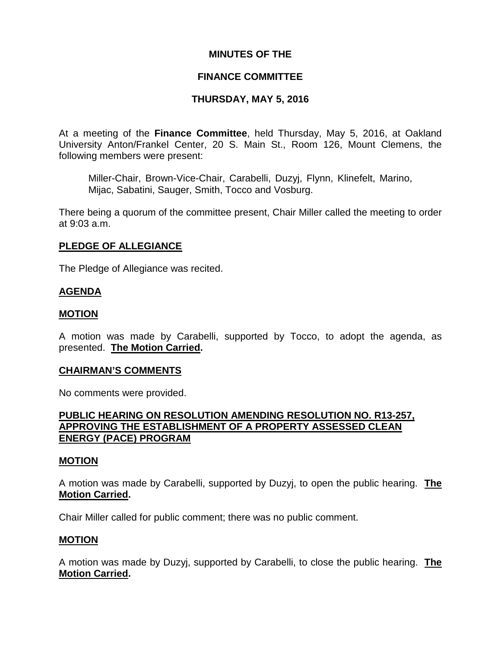### **MINUTES OF THE**

### **FINANCE COMMITTEE**

## **THURSDAY, MAY 5, 2016**

At a meeting of the **Finance Committee**, held Thursday, May 5, 2016, at Oakland University Anton/Frankel Center, 20 S. Main St., Room 126, Mount Clemens, the following members were present:

Miller-Chair, Brown-Vice-Chair, Carabelli, Duzyj, Flynn, Klinefelt, Marino, Mijac, Sabatini, Sauger, Smith, Tocco and Vosburg.

There being a quorum of the committee present, Chair Miller called the meeting to order at 9:03 a.m.

### **PLEDGE OF ALLEGIANCE**

The Pledge of Allegiance was recited.

## **AGENDA**

### **MOTION**

A motion was made by Carabelli, supported by Tocco, to adopt the agenda, as presented. **The Motion Carried.**

#### **CHAIRMAN'S COMMENTS**

No comments were provided.

## **PUBLIC HEARING ON RESOLUTION AMENDING RESOLUTION NO. R13-257, APPROVING THE ESTABLISHMENT OF A PROPERTY ASSESSED CLEAN ENERGY (PACE) PROGRAM**

#### **MOTION**

A motion was made by Carabelli, supported by Duzyj, to open the public hearing. **The Motion Carried.**

Chair Miller called for public comment; there was no public comment.

#### **MOTION**

A motion was made by Duzyj, supported by Carabelli, to close the public hearing. **The Motion Carried.**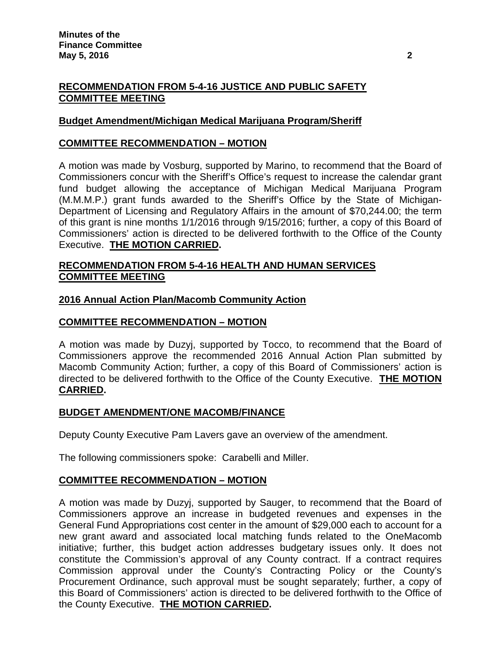# **RECOMMENDATION FROM 5-4-16 JUSTICE AND PUBLIC SAFETY COMMITTEE MEETING**

# **Budget Amendment/Michigan Medical Marijuana Program/Sheriff**

## **COMMITTEE RECOMMENDATION – MOTION**

A motion was made by Vosburg, supported by Marino, to recommend that the Board of Commissioners concur with the Sheriff's Office's request to increase the calendar grant fund budget allowing the acceptance of Michigan Medical Marijuana Program (M.M.M.P.) grant funds awarded to the Sheriff's Office by the State of Michigan-Department of Licensing and Regulatory Affairs in the amount of \$70,244.00; the term of this grant is nine months 1/1/2016 through 9/15/2016; further, a copy of this Board of Commissioners' action is directed to be delivered forthwith to the Office of the County Executive. **THE MOTION CARRIED.**

## **RECOMMENDATION FROM 5-4-16 HEALTH AND HUMAN SERVICES COMMITTEE MEETING**

### **2016 Annual Action Plan/Macomb Community Action**

## **COMMITTEE RECOMMENDATION – MOTION**

A motion was made by Duzyj, supported by Tocco, to recommend that the Board of Commissioners approve the recommended 2016 Annual Action Plan submitted by Macomb Community Action; further, a copy of this Board of Commissioners' action is directed to be delivered forthwith to the Office of the County Executive. **THE MOTION CARRIED.**

#### **BUDGET AMENDMENT/ONE MACOMB/FINANCE**

Deputy County Executive Pam Lavers gave an overview of the amendment.

The following commissioners spoke: Carabelli and Miller.

## **COMMITTEE RECOMMENDATION – MOTION**

A motion was made by Duzyj, supported by Sauger, to recommend that the Board of Commissioners approve an increase in budgeted revenues and expenses in the General Fund Appropriations cost center in the amount of \$29,000 each to account for a new grant award and associated local matching funds related to the OneMacomb initiative; further, this budget action addresses budgetary issues only. It does not constitute the Commission's approval of any County contract. If a contract requires Commission approval under the County's Contracting Policy or the County's Procurement Ordinance, such approval must be sought separately; further, a copy of this Board of Commissioners' action is directed to be delivered forthwith to the Office of the County Executive. **THE MOTION CARRIED.**